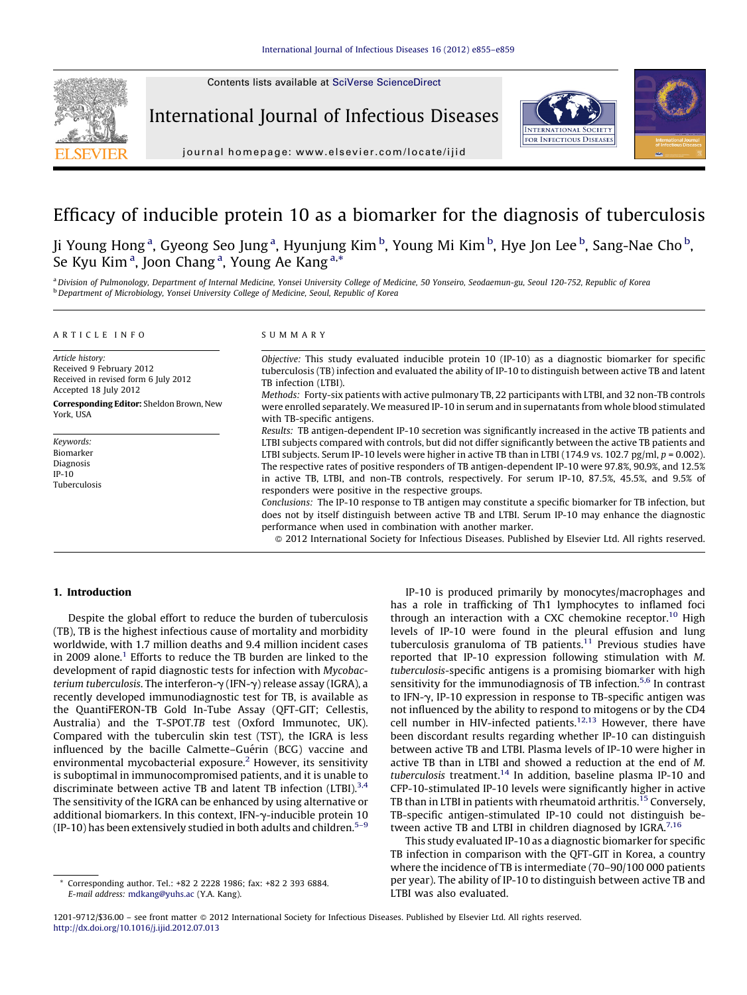Contents lists available at SciVerse [ScienceDirect](http://www.sciencedirect.com/science/journal/12019712)

International Journal of Infectious Diseases



journal homepage: www.elsevier.com/locate/ijid

# Efficacy of inducible protein 10 as a biomarker for the diagnosis of tuberculosis

Ji Young Hong<sup>a</sup>, Gyeong Seo Jung<sup>a</sup>, Hyunjung Kim <sup>b</sup>, Young Mi Kim <sup>b</sup>, Hye Jon Lee <sup>b</sup>, Sang-Nae Cho <sup>b</sup>, Se Kyu Kim<sup>a</sup>, Joon Chang<sup>a</sup>, Young Ae Kang<sup>a,\*</sup>

a Division of Pulmonology, Department of Internal Medicine, Yonsei University College of Medicine, 50 Yonseiro, Seodaemun-gu, Seoul 120-752, Republic of Korea **b** Department of Microbiology, Yonsei University College of Medicine, Seoul, Republic of Korea

#### A R T I C L E I N F O

# S U M M A R Y

Article history: Received 9 February 2012 Received in revised form 6 July 2012 Accepted 18 July 2012 Corresponding Editor: Sheldon Brown, New York, USA

Keywords: Biomarker Diagnosis IP-10 Tuberculosis Objective: This study evaluated inducible protein 10 (IP-10) as a diagnostic biomarker for specific tuberculosis (TB) infection and evaluated the ability of IP-10 to distinguish between active TB and latent TB infection (LTBI).

Methods: Forty-six patients with active pulmonary TB, 22 participants with LTBI, and 32 non-TB controls were enrolled separately. We measured IP-10 in serum and in supernatants from whole blood stimulated with TB-specific antigens.

Results: TB antigen-dependent IP-10 secretion was significantly increased in the active TB patients and LTBI subjects compared with controls, but did not differ significantly between the active TB patients and LTBI subjects. Serum IP-10 levels were higher in active TB than in LTBI (174.9 vs. 102.7 pg/ml,  $p = 0.002$ ). The respective rates of positive responders of TB antigen-dependent IP-10 were 97.8%, 90.9%, and 12.5% in active TB, LTBI, and non-TB controls, respectively. For serum IP-10, 87.5%, 45.5%, and 9.5% of responders were positive in the respective groups.

Conclusions: The IP-10 response to TB antigen may constitute a specific biomarker for TB infection, but does not by itself distinguish between active TB and LTBI. Serum IP-10 may enhance the diagnostic performance when used in combination with another marker.

- 2012 International Society for Infectious Diseases. Published by Elsevier Ltd. All rights reserved.

# 1. Introduction

Despite the global effort to reduce the burden of tuberculosis (TB), TB is the highest infectious cause of mortality and morbidity worldwide, with 1.7 million deaths and 9.4 million incident cases in 2009 alone.<sup>[1](#page-4-0)</sup> Efforts to reduce the TB burden are linked to the development of rapid diagnostic tests for infection with Mycobacterium tuberculosis. The interferon- $\gamma$  (IFN- $\gamma$ ) release assay (IGRA), a recently developed immunodiagnostic test for TB, is available as the QuantiFERON-TB Gold In-Tube Assay (QFT-GIT; Cellestis, Australia) and the T-SPOT.TB test (Oxford Immunotec, UK). Compared with the tuberculin skin test (TST), the IGRA is less influenced by the bacille Calmette-Guérin (BCG) vaccine and environmental mycobacterial exposure.<sup>[2](#page-4-0)</sup> However, its sensitivity is suboptimal in immunocompromised patients, and it is unable to discriminate between active TB and latent TB infection (LTBI).<sup>[3,4](#page-4-0)</sup> The sensitivity of the IGRA can be enhanced by using alternative or additional biomarkers. In this context, IFN- $\gamma$ -inducible protein 10 (IP-10) has been extensively studied in both adults and children. $5-9$ 

IP-10 is produced primarily by monocytes/macrophages and has a role in trafficking of Th1 lymphocytes to inflamed foci through an interaction with a CXC chemokine receptor.<sup>10</sup> High levels of IP-10 were found in the pleural effusion and lung tuberculosis granuloma of TB patients.<sup>11</sup> Previous studies have reported that IP-10 expression following stimulation with M. tuberculosis-specific antigens is a promising biomarker with high sensitivity for the immunodiagnosis of TB infection.<sup>[5,6](#page-4-0)</sup> In contrast to IFN-γ, IP-10 expression in response to TB-specific antigen was not influenced by the ability to respond to mitogens or by the CD4 cell number in HIV-infected patients.<sup>12,13</sup> However, there have been discordant results regarding whether IP-10 can distinguish between active TB and LTBI. Plasma levels of IP-10 were higher in active TB than in LTBI and showed a reduction at the end of M. tuberculosis treatment.<sup>[14](#page-4-0)</sup> In addition, baseline plasma IP-10 and CFP-10-stimulated IP-10 levels were significantly higher in active TB than in LTBI in patients with rheumatoid arthritis.<sup>[15](#page-4-0)</sup> Conversely, TB-specific antigen-stimulated IP-10 could not distinguish between active TB and LTBI in children diagnosed by IGRA. $7,16$ 

This study evaluated IP-10 as a diagnostic biomarker for specific TB infection in comparison with the QFT-GIT in Korea, a country where the incidence of TB is intermediate (70–90/100 000 patients per year). The ability of IP-10 to distinguish between active TB and LTBI was also evaluated.

Corresponding author. Tel.: +82 2 2228 1986; fax: +82 2 393 6884. E-mail address: [mdkang@yuhs.ac](mailto:mdkang@yuhs.ac) (Y.A. Kang).

<sup>1201-9712/\$36.00 -</sup> see front matter @ 2012 International Society for Infectious Diseases. Published by Elsevier Ltd. All rights reserved. <http://dx.doi.org/10.1016/j.ijid.2012.07.013>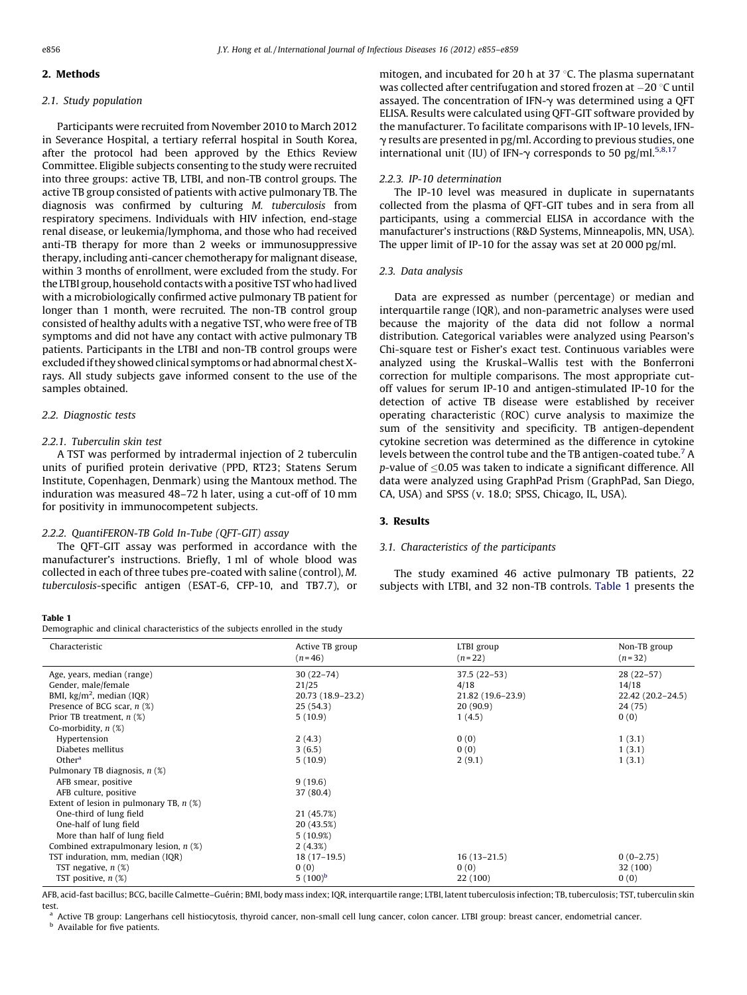# 2. Methods

# 2.1. Study population

Participants were recruited from November 2010 to March 2012 in Severance Hospital, a tertiary referral hospital in South Korea, after the protocol had been approved by the Ethics Review Committee. Eligible subjects consenting to the study were recruited into three groups: active TB, LTBI, and non-TB control groups. The active TB group consisted of patients with active pulmonary TB. The diagnosis was confirmed by culturing M. tuberculosis from respiratory specimens. Individuals with HIV infection, end-stage renal disease, or leukemia/lymphoma, and those who had received anti-TB therapy for more than 2 weeks or immunosuppressive therapy, including anti-cancer chemotherapy for malignant disease, within 3 months of enrollment, were excluded from the study. For the LTBI group, household contacts with a positive TST who had lived with a microbiologically confirmed active pulmonary TB patient for longer than 1 month, were recruited. The non-TB control group consisted of healthy adults with a negative TST, who were free of TB symptoms and did not have any contact with active pulmonary TB patients. Participants in the LTBI and non-TB control groups were excluded if they showed clinical symptoms or had abnormal chest Xrays. All study subjects gave informed consent to the use of the samples obtained.

# 2.2. Diagnostic tests

# 2.2.1. Tuberculin skin test

A TST was performed by intradermal injection of 2 tuberculin units of purified protein derivative (PPD, RT23; Statens Serum Institute, Copenhagen, Denmark) using the Mantoux method. The induration was measured 48–72 h later, using a cut-off of 10 mm for positivity in immunocompetent subjects.

### 2.2.2. QuantiFERON-TB Gold In-Tube (QFT-GIT) assay

The QFT-GIT assay was performed in accordance with the manufacturer's instructions. Briefly, 1 ml of whole blood was collected in each of three tubes pre-coated with saline (control), M. tuberculosis-specific antigen (ESAT-6, CFP-10, and TB7.7), or

## Table 1

Demographic and clinical characteristics of the subjects enrolled in the study

mitogen, and incubated for 20 h at 37  $\degree$ C. The plasma supernatant was collected after centrifugation and stored frozen at  $-20\,^{\circ}\textrm{C}$  until assayed. The concentration of IFN- $\gamma$  was determined using a QFT ELISA. Results were calculated using QFT-GIT software provided by the manufacturer. To facilitate comparisons with IP-10 levels, IFN- $\gamma$  results are presented in pg/ml. According to previous studies, one international unit (IU) of IFN- $\gamma$  corresponds to 50 pg/ml.<sup>5,8,17</sup>

# 2.2.3. IP-10 determination

The IP-10 level was measured in duplicate in supernatants collected from the plasma of QFT-GIT tubes and in sera from all participants, using a commercial ELISA in accordance with the manufacturer's instructions (R&D Systems, Minneapolis, MN, USA). The upper limit of IP-10 for the assay was set at 20 000 pg/ml.

### 2.3. Data analysis

Data are expressed as number (percentage) or median and interquartile range (IQR), and non-parametric analyses were used because the majority of the data did not follow a normal distribution. Categorical variables were analyzed using Pearson's Chi-square test or Fisher's exact test. Continuous variables were analyzed using the Kruskal–Wallis test with the Bonferroni correction for multiple comparisons. The most appropriate cutoff values for serum IP-10 and antigen-stimulated IP-10 for the detection of active TB disease were established by receiver operating characteristic (ROC) curve analysis to maximize the sum of the sensitivity and specificity. TB antigen-dependent cytokine secretion was determined as the difference in cytokine levels between the control tube and the TB antigen-coated tube.[7](#page-4-0) A  $p$ -value of  $\leq$  0.05 was taken to indicate a significant difference. All data were analyzed using GraphPad Prism (GraphPad, San Diego, CA, USA) and SPSS (v. 18.0; SPSS, Chicago, IL, USA).

## 3. Results

## 3.1. Characteristics of the participants

The study examined 46 active pulmonary TB patients, 22 subjects with LTBI, and 32 non-TB controls. Table 1 presents the

| Characteristic                            | Active TB group<br>$(n=46)$ | LTBI group<br>$(n=22)$ | Non-TB group<br>$(n=32)$ |
|-------------------------------------------|-----------------------------|------------------------|--------------------------|
| Age, years, median (range)                | $30(22 - 74)$               | $37.5(22-53)$          | $28(22-57)$              |
| Gender, male/female                       | 21/25                       | 4/18                   | 14/18                    |
| BMI, $\text{kg/m}^2$ , median (IQR)       | 20.73 (18.9-23.2)           | 21.82 (19.6-23.9)      | 22.42 (20.2-24.5)        |
| Presence of BCG scar, $n$ (%)             | 25(54.3)                    | 20(90.9)               | 24 (75)                  |
| Prior TB treatment, $n$ (%)               | 5(10.9)                     | 1(4.5)                 | 0(0)                     |
| Co-morbidity, $n$ $(\%)$                  |                             |                        |                          |
| Hypertension                              | 2(4.3)                      | 0(0)                   | 1(3.1)                   |
| Diabetes mellitus                         | 3(6.5)                      | 0(0)                   | 1(3.1)                   |
| Other <sup>a</sup>                        | 5(10.9)                     | 2(9.1)                 | 1(3.1)                   |
| Pulmonary TB diagnosis, $n$ (%)           |                             |                        |                          |
| AFB smear, positive                       | 9(19.6)                     |                        |                          |
| AFB culture, positive                     | 37 (80.4)                   |                        |                          |
| Extent of lesion in pulmonary TB, $n$ (%) |                             |                        |                          |
| One-third of lung field                   | 21 (45.7%)                  |                        |                          |
| One-half of lung field                    | 20 (43.5%)                  |                        |                          |
| More than half of lung field              | 5(10.9%)                    |                        |                          |
| Combined extrapulmonary lesion, $n$ (%)   | 2(4.3%)                     |                        |                          |
| TST induration, mm, median (IQR)          | $18(17-19.5)$               | $16(13-21.5)$          | $0(0-2.75)$              |
| TST negative, $n$ $(\%)$                  | 0(0)                        | 0(0)                   | 32 (100)                 |
| TST positive, $n$ $(\%)$                  | 5 $(100)^b$                 | 22 (100)               | 0(0)                     |
|                                           |                             |                        |                          |

AFB, acid-fast bacillus; BCG, bacille Calmette-Guérin; BMI, body mass index; IQR, interquartile range; LTBI, latent tuberculosis infection; TB, tuberculosis; TST, tuberculin skin test.

<sup>a</sup> Active TB group: Langerhans cell histiocytosis, thyroid cancer, non-small cell lung cancer, colon cancer. LTBI group: breast cancer, endometrial cancer.

**b** Available for five patients.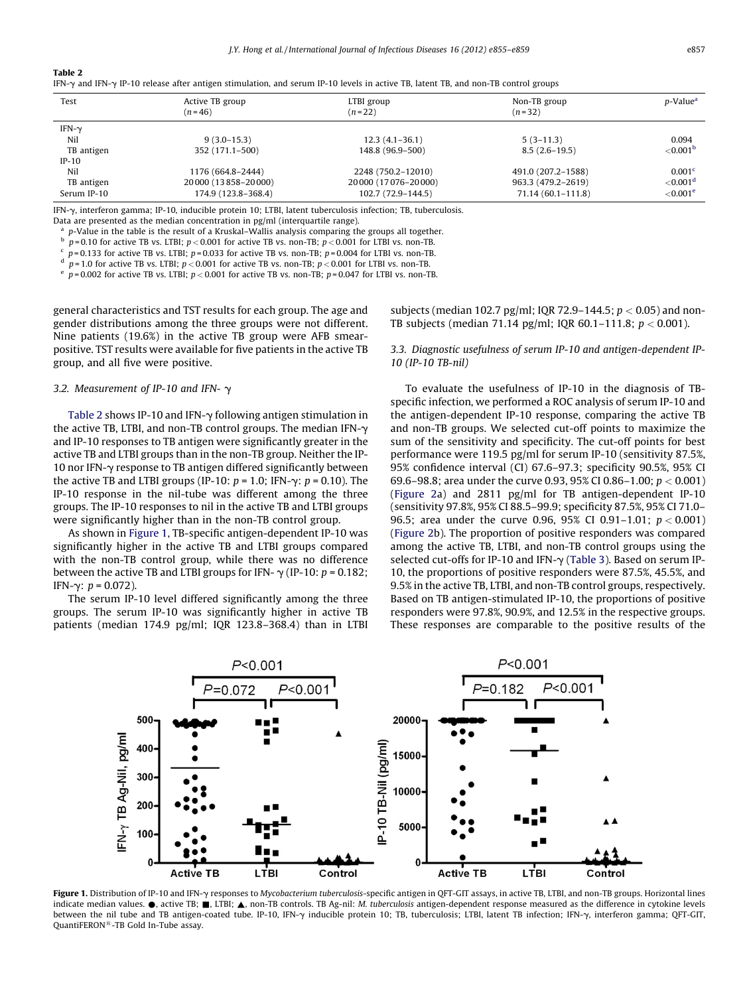Table 2

|  |  | IFN- $\gamma$ and IFN- $\gamma$ IP-10 release after antigen stimulation, and serum IP-10 levels in active TB, latent TB, and non-TB control groups |  |  |  |  |  |  |  |  |  |  |
|--|--|----------------------------------------------------------------------------------------------------------------------------------------------------|--|--|--|--|--|--|--|--|--|--|
|--|--|----------------------------------------------------------------------------------------------------------------------------------------------------|--|--|--|--|--|--|--|--|--|--|

| Test          | Active TB group<br>$(n=46)$ | LTBI group<br>$(n=22)$   | Non-TB group<br>$(n=32)$ | <i>p</i> -Value <sup>a</sup> |
|---------------|-----------------------------|--------------------------|--------------------------|------------------------------|
| IFN- $\gamma$ |                             |                          |                          |                              |
| Nil           | $9(3.0-15.3)$               | $12.3(4.1-36.1)$         | $5(3-11.3)$              | 0.094                        |
| TB antigen    | 352 (171.1–500)             | 148.8 (96.9–500)         | $8.5(2.6-19.5)$          | ${<}0.001b$                  |
| $IP-10$       |                             |                          |                          |                              |
| Nil           | 1176 (664.8-2444)           | 2248 (750.2-12010)       | 491.0 (207.2-1588)       | 0.001 <sup>c</sup>           |
| TB antigen    | 20 000 (13 858 - 20 000)    | 20 000 (17 076 - 20 000) | 963.3 (479.2-2619)       | $<$ 0.001 <sup>d</sup>       |
| Serum IP-10   | 174.9 (123.8-368.4)         | 102.7 (72.9-144.5)       | $71.14(60.1 - 111.8)$    | $<$ 0.001 $^{\circ}$         |

IFN-g, interferon gamma; IP-10, inducible protein 10; LTBI, latent tuberculosis infection; TB, tuberculosis.

Data are presented as the median concentration in pg/ml (interquartile range).

<sup>a</sup> p-Value in the table is the result of a Kruskal–Wallis analysis comparing the groups all together.

 $p = 0.10$  for active TB vs. LTBI;  $p < 0.001$  for active TB vs. non-TB;  $p < 0.001$  for LTBI vs. non-TB.

 $p = 0.133$  for active TB vs. LTBI;  $p = 0.033$  for active TB vs. non-TB;  $p = 0.004$  for LTBI vs. non-TB.

 $d$  p = 1.0 for active TB vs. LTBI; p < 0.001 for active TB vs. non-TB; p < 0.001 for LTBI vs. non-TB; e n 0.002 for active TB vs. 1. TBI vs. non-TB; e non-TB; e non-TB; e non-TB vs. non-TB

 $p = 0.002$  for active TB vs. LTBI;  $p < 0.001$  for active TB vs. non-TB;  $p = 0.047$  for LTBI vs. non-TB.

general characteristics and TST results for each group. The age and gender distributions among the three groups were not different. Nine patients (19.6%) in the active TB group were AFB smearpositive. TST results were available for five patients in the active TB group, and all five were positive.

# 3.2. Measurement of IP-10 and IFN-  $\gamma$

Table 2 shows IP-10 and IFN- $\gamma$  following antigen stimulation in the active TB, LTBI, and non-TB control groups. The median IFN-γ and IP-10 responses to TB antigen were significantly greater in the active TB and LTBI groups than in the non-TB group. Neither the IP-10 nor IFN- $\gamma$  response to TB antigen differed significantly between the active TB and LTBI groups (IP-10:  $p = 1.0$ ; IFN- $\gamma$ :  $p = 0.10$ ). The IP-10 response in the nil-tube was different among the three groups. The IP-10 responses to nil in the active TB and LTBI groups were significantly higher than in the non-TB control group.

As shown in Figure 1, TB-specific antigen-dependent IP-10 was significantly higher in the active TB and LTBI groups compared with the non-TB control group, while there was no difference between the active TB and LTBI groups for IFN-  $\gamma$  (IP-10:  $p = 0.182$ ; IFN-γ:  $p = 0.072$ ).

The serum IP-10 level differed significantly among the three groups. The serum IP-10 was significantly higher in active TB patients (median 174.9 pg/ml; IQR 123.8–368.4) than in LTBI subjects (median 102.7 pg/ml; IQR 72.9-144.5;  $p < 0.05$ ) and non-TB subjects (median 71.14 pg/ml; IQR 60.1-111.8;  $p < 0.001$ ).

# 3.3. Diagnostic usefulness of serum IP-10 and antigen-dependent IP-10 (IP-10 TB-nil)

To evaluate the usefulness of IP-10 in the diagnosis of TBspecific infection, we performed a ROC analysis of serum IP-10 and the antigen-dependent IP-10 response, comparing the active TB and non-TB groups. We selected cut-off points to maximize the sum of the sensitivity and specificity. The cut-off points for best performance were 119.5 pg/ml for serum IP-10 (sensitivity 87.5%, 95% confidence interval (CI) 67.6–97.3; specificity 90.5%, 95% CI 69.6–98.8; area under the curve 0.93, 95% CI 0.86–1.00; p < 0.001) ([Figure](#page-3-0) 2a) and 2811 pg/ml for TB antigen-dependent IP-10 (sensitivity 97.8%, 95% CI 88.5–99.9; specificity 87.5%, 95% CI 71.0– 96.5; area under the curve 0.96, 95% CI 0.91-1.01;  $p < 0.001$ ) ([Figure](#page-3-0) 2b). The proportion of positive responders was compared among the active TB, LTBI, and non-TB control groups using the selected cut-offs for IP-10 and IFN- $\gamma$  ([Table](#page-3-0) 3). Based on serum IP-10, the proportions of positive responders were 87.5%, 45.5%, and 9.5% in the active TB, LTBI, and non-TB control groups, respectively. Based on TB antigen-stimulated IP-10, the proportions of positive responders were 97.8%, 90.9%, and 12.5% in the respective groups. These responses are comparable to the positive results of the



Figure 1. Distribution of IP-10 and IFN-y responses to Mycobacterium tuberculosis-specific antigen in QFT-GIT assays, in active TB, LTBI, and non-TB groups. Horizontal lines indicate median values.  $\bullet$ , active TB;  $\blacksquare$ , LTBI;  $\blacktriangle$ , non-TB controls. TB Ag-nil: *M. tuberculosis* antigen-dependent response measured as the difference in cytokine levels between the nil tube and TB antigen-coated tube. IP-10, IFN-y inducible protein 10; TB, tuberculosis; LTBI, latent TB infection; IFN-y, interferon gamma; QFT-GIT, QuantiFERON<sup>®</sup>-TB Gold In-Tube assay.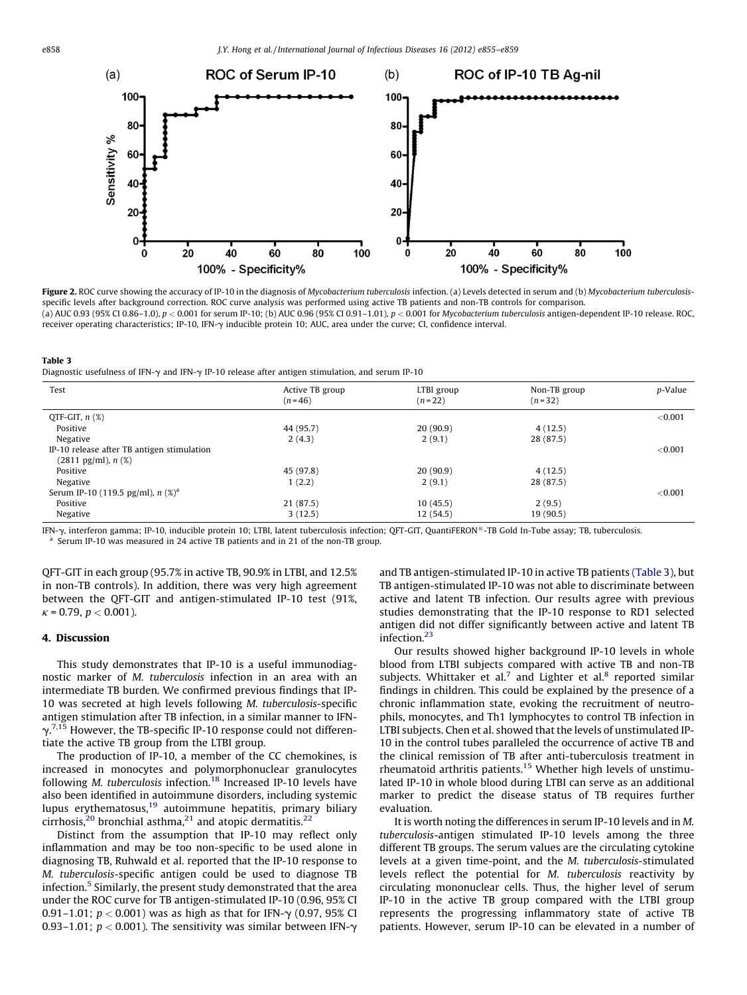<span id="page-3-0"></span>

Figure 2. ROC curve showing the accuracy of IP-10 in the diagnosis of Mycobacterium tuberculosis infection. (a) Levels detected in serum and (b) Mycobacterium tuberculosisspecific levels after background correction. ROC curve analysis was performed using active TB patients and non-TB controls for comparison. (a) AUC 0.93 (95% CI 0.86–1.0), p < 0.001 for serum IP-10; (b) AUC 0.96 (95% CI 0.91–1.01), p < 0.001 for Mycobacterium tuberculosis antigen-dependent IP-10 release. ROC, receiver operating characteristics; IP-10, IFN-g inducible protein 10; AUC, area under the curve; CI, confidence interval.

| тане э                                                                                                            |  |
|-------------------------------------------------------------------------------------------------------------------|--|
| Diagnostic usefulness of IFN- $\gamma$ and IFN- $\gamma$ IP-10 release after antigen stimulation, and serum IP-10 |  |

| Test                                            | Active TB group<br>$(n=46)$ | LTBI group<br>$(n=22)$ | Non-TB group<br>$(n=32)$ | p-Value |
|-------------------------------------------------|-----------------------------|------------------------|--------------------------|---------|
| QTF-GIT, $n$ $(\%)$                             |                             |                        |                          | < 0.001 |
| Positive                                        | 44 (95.7)                   | 20(90.9)               | 4(12.5)                  |         |
| Negative                                        | 2(4.3)                      | 2(9.1)                 | 28 (87.5)                |         |
| IP-10 release after TB antigen stimulation      |                             |                        |                          | < 0.001 |
| $(2811 \text{ pg/ml})$ , n $(\%)$               |                             |                        |                          |         |
| Positive                                        | 45 (97.8)                   | 20(90.9)               | 4(12.5)                  |         |
| Negative                                        | 1(2.2)                      | 2(9.1)                 | 28 (87.5)                |         |
| Serum IP-10 (119.5 pg/ml), $n$ (%) <sup>a</sup> |                             |                        |                          | < 0.001 |
| Positive                                        | 21(87.5)                    | 10(45.5)               | 2(9.5)                   |         |
| Negative                                        | 3(12.5)                     | 12 (54.5)              | 19 (90.5)                |         |

IFN- $\gamma$ , interferon gamma; IP-10, inducible protein 10; LTBI, latent tuberculosis infection; QFT-GIT, QuantiFERON<sup>®</sup>-TB Gold In-Tube assay; TB, tuberculosis.<br><sup>a</sup> Serum IP-10 was measured in 24 active TB patients and in 2

QFT-GIT in each group (95.7% in active TB, 90.9% in LTBI, and 12.5% in non-TB controls). In addition, there was very high agreement between the QFT-GIT and antigen-stimulated IP-10 test (91%,  $\kappa$  = 0.79,  $p < 0.001$ ).

# 4. Discussion

This study demonstrates that IP-10 is a useful immunodiagnostic marker of M. tuberculosis infection in an area with an intermediate TB burden. We confirmed previous findings that IP-10 was secreted at high levels following M. tuberculosis-specific antigen stimulation after TB infection, in a similar manner to IFN- $\gamma$ .<sup>[7,15](#page-4-0)</sup> However, the TB-specific IP-10 response could not differentiate the active TB group from the LTBI group.

The production of IP-10, a member of the CC chemokines, is increased in monocytes and polymorphonuclear granulocytes following M. tuberculosis infection.<sup>18</sup> Increased IP-10 levels have also been identified in autoimmune disorders, including systemic lupus erythematosus[,19](#page-4-0) autoimmune hepatitis, primary biliary cirrhosis,<sup>[20](#page-4-0)</sup> bronchial asthma,<sup>[21](#page-4-0)</sup> and atopic dermatitis.<sup>[22](#page-4-0)</sup>

Distinct from the assumption that IP-10 may reflect only inflammation and may be too non-specific to be used alone in diagnosing TB, Ruhwald et al. reported that the IP-10 response to M. tuberculosis-specific antigen could be used to diagnose TB infection.<sup>[5](#page-4-0)</sup> Similarly, the present study demonstrated that the area under the ROC curve for TB antigen-stimulated IP-10 (0.96, 95% CI 0.91–1.01;  $p < 0.001$ ) was as high as that for IFN- $\gamma$  (0.97, 95% CI 0.93–1.01;  $p < 0.001$ ). The sensitivity was similar between IFN- $\gamma$  and TB antigen-stimulated IP-10 in active TB patients (Table 3), but TB antigen-stimulated IP-10 was not able to discriminate between active and latent TB infection. Our results agree with previous studies demonstrating that the IP-10 response to RD1 selected antigen did not differ significantly between active and latent TB infection[.23](#page-4-0)

Our results showed higher background IP-10 levels in whole blood from LTBI subjects compared with active TB and non-TB subjects. Whittaker et al.<sup>[7](#page-4-0)</sup> and Lighter et al.<sup>8</sup> reported similar findings in children. This could be explained by the presence of a chronic inflammation state, evoking the recruitment of neutrophils, monocytes, and Th1 lymphocytes to control TB infection in LTBI subjects. Chen et al. showed that the levels of unstimulated IP-10 in the control tubes paralleled the occurrence of active TB and the clinical remission of TB after anti-tuberculosis treatment in rheumatoid arthritis patients.<sup>15</sup> Whether high levels of unstimulated IP-10 in whole blood during LTBI can serve as an additional marker to predict the disease status of TB requires further evaluation.

It is worth noting the differences in serum IP-10 levels and in M. tuberculosis-antigen stimulated IP-10 levels among the three different TB groups. The serum values are the circulating cytokine levels at a given time-point, and the M. tuberculosis-stimulated levels reflect the potential for M. tuberculosis reactivity by circulating mononuclear cells. Thus, the higher level of serum IP-10 in the active TB group compared with the LTBI group represents the progressing inflammatory state of active TB patients. However, serum IP-10 can be elevated in a number of

Table 3